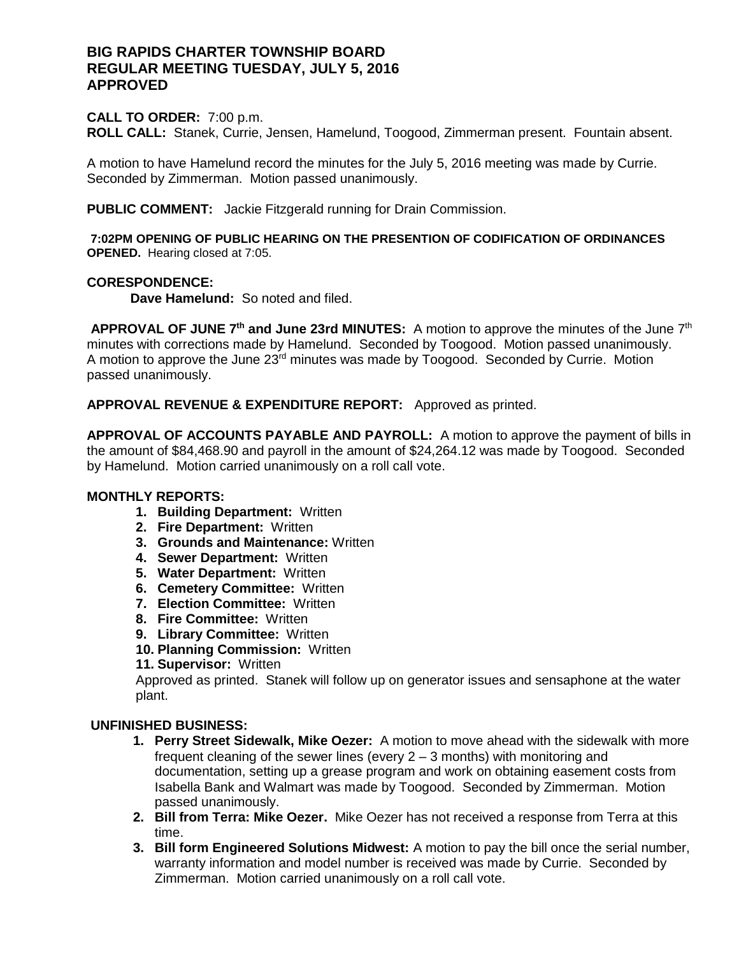## **BIG RAPIDS CHARTER TOWNSHIP BOARD REGULAR MEETING TUESDAY, JULY 5, 2016 APPROVED**

#### **CALL TO ORDER:** 7:00 p.m.

**ROLL CALL:** Stanek, Currie, Jensen, Hamelund, Toogood, Zimmerman present. Fountain absent.

A motion to have Hamelund record the minutes for the July 5, 2016 meeting was made by Currie. Seconded by Zimmerman. Motion passed unanimously.

**PUBLIC COMMENT:** Jackie Fitzgerald running for Drain Commission.

**7:02PM OPENING OF PUBLIC HEARING ON THE PRESENTION OF CODIFICATION OF ORDINANCES OPENED.** Hearing closed at 7:05.

### **CORESPONDENCE:**

**Dave Hamelund:** So noted and filed.

**APPROVAL OF JUNE 7th and June 23rd MINUTES:** A motion to approve the minutes of the June 7th minutes with corrections made by Hamelund. Seconded by Toogood. Motion passed unanimously. A motion to approve the June  $23^{rd}$  minutes was made by  $Toogood$ . Seconded by Currie. Motion passed unanimously.

**APPROVAL REVENUE & EXPENDITURE REPORT:** Approved as printed.

**APPROVAL OF ACCOUNTS PAYABLE AND PAYROLL:** A motion to approve the payment of bills in the amount of \$84,468.90 and payroll in the amount of \$24,264.12 was made by Toogood. Seconded by Hamelund. Motion carried unanimously on a roll call vote.

#### **MONTHLY REPORTS:**

- **1. Building Department:** Written
- **2. Fire Department:** Written
- **3. Grounds and Maintenance:** Written
- **4. Sewer Department:** Written
- **5. Water Department:** Written
- **6. Cemetery Committee:** Written
- **7. Election Committee:** Written
- **8. Fire Committee:** Written
- **9. Library Committee:** Written
- **10. Planning Commission:** Written
- **11. Supervisor:** Written

Approved as printed. Stanek will follow up on generator issues and sensaphone at the water plant.

## **UNFINISHED BUSINESS:**

- **1. Perry Street Sidewalk, Mike Oezer:** A motion to move ahead with the sidewalk with more frequent cleaning of the sewer lines (every 2 – 3 months) with monitoring and documentation, setting up a grease program and work on obtaining easement costs from Isabella Bank and Walmart was made by Toogood. Seconded by Zimmerman. Motion passed unanimously.
- **2. Bill from Terra: Mike Oezer.** Mike Oezer has not received a response from Terra at this time.
- **3. Bill form Engineered Solutions Midwest:** A motion to pay the bill once the serial number, warranty information and model number is received was made by Currie. Seconded by Zimmerman. Motion carried unanimously on a roll call vote.